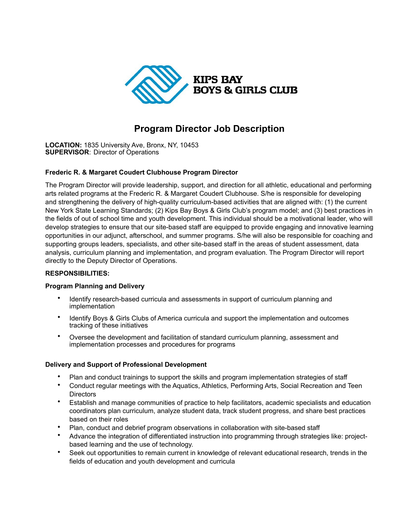

# **Program Director Job Description**

**LOCATION:** 1835 University Ave, Bronx, NY, 10453 **SUPERVISOR**: Director of Operations

# **Frederic R. & Margaret Coudert Clubhouse Program Director**

The Program Director will provide leadership, support, and direction for all athletic, educational and performing arts related programs at the Frederic R. & Margaret Coudert Clubhouse. S/he is responsible for developing and strengthening the delivery of high-quality curriculum-based activities that are aligned with: (1) the current New York State Learning Standards; (2) Kips Bay Boys & Girls Club's program model; and (3) best practices in the fields of out of school time and youth development. This individual should be a motivational leader, who will develop strategies to ensure that our site-based staff are equipped to provide engaging and innovative learning opportunities in our adjunct, afterschool, and summer programs. S/he will also be responsible for coaching and supporting groups leaders, specialists, and other site-based staff in the areas of student assessment, data analysis, curriculum planning and implementation, and program evaluation. The Program Director will report directly to the Deputy Director of Operations.

# **RESPONSIBILITIES:**

#### **Program Planning and Delivery**

- Identify research-based curricula and assessments in support of curriculum planning and implementation
- Identify Boys & Girls Clubs of America curricula and support the implementation and outcomes tracking of these initiatives
- Oversee the development and facilitation of standard curriculum planning, assessment and implementation processes and procedures for programs

### **Delivery and Support of Professional Development**

- Plan and conduct trainings to support the skills and program implementation strategies of staff
- Conduct regular meetings with the Aquatics, Athletics, Performing Arts, Social Recreation and Teen **Directors**
- Establish and manage communities of practice to help facilitators, academic specialists and education coordinators plan curriculum, analyze student data, track student progress, and share best practices based on their roles
- Plan, conduct and debrief program observations in collaboration with site-based staff
- Advance the integration of differentiated instruction into programming through strategies like: projectbased learning and the use of technology.
- Seek out opportunities to remain current in knowledge of relevant educational research, trends in the fields of education and youth development and curricula